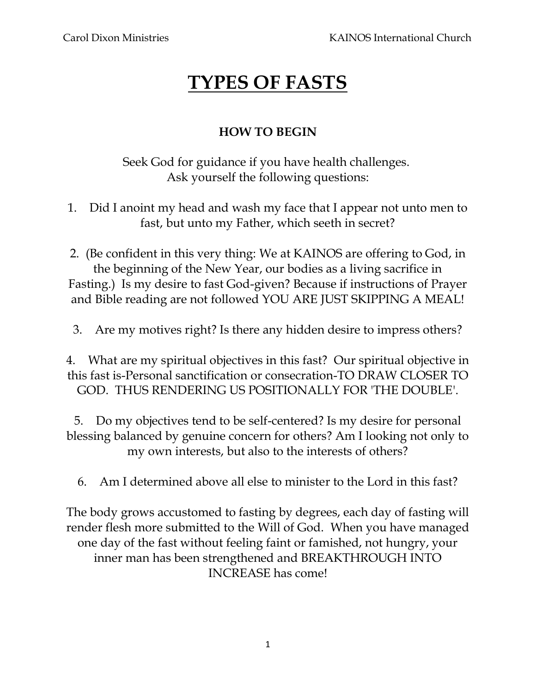## **TYPES OF FASTS**

## **HOW TO BEGIN**

Seek God for guidance if you have health challenges. Ask yourself the following questions:

1. Did I anoint my head and wash my face that I appear not unto men to fast, but unto my Father, which seeth in secret?

2. (Be confident in this very thing: We at KAINOS are offering to God, in the beginning of the New Year, our bodies as a living sacrifice in Fasting.) Is my desire to fast God-given? Because if instructions of Prayer and Bible reading are not followed YOU ARE JUST SKIPPING A MEAL!

3. Are my motives right? Is there any hidden desire to impress others?

4. What are my spiritual objectives in this fast? Our spiritual objective in this fast is-Personal sanctification or consecration-TO DRAW CLOSER TO GOD. THUS RENDERING US POSITIONALLY FOR 'THE DOUBLE'.

5. Do my objectives tend to be self-centered? Is my desire for personal blessing balanced by genuine concern for others? Am I looking not only to my own interests, but also to the interests of others?

6. Am I determined above all else to minister to the Lord in this fast?

The body grows accustomed to fasting by degrees, each day of fasting will render flesh more submitted to the Will of God. When you have managed one day of the fast without feeling faint or famished, not hungry, your inner man has been strengthened and BREAKTHROUGH INTO INCREASE has come!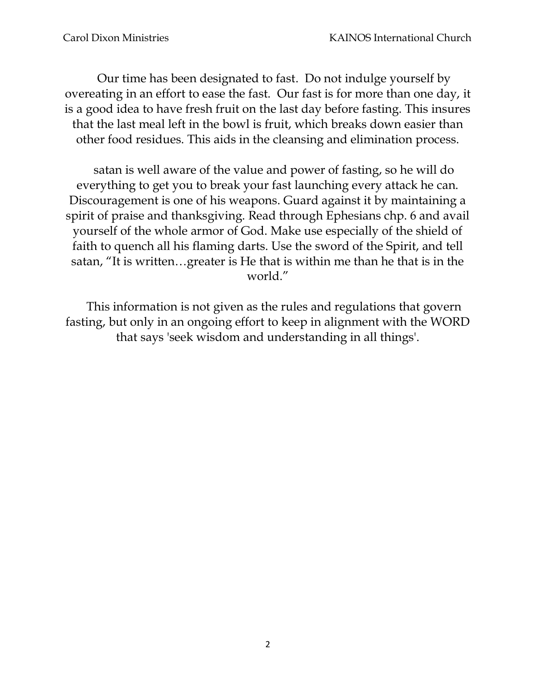Our time has been designated to fast. Do not indulge yourself by overeating in an effort to ease the fast. Our fast is for more than one day, it is a good idea to have fresh fruit on the last day before fasting. This insures that the last meal left in the bowl is fruit, which breaks down easier than other food residues. This aids in the cleansing and elimination process.

satan is well aware of the value and power of fasting, so he will do everything to get you to break your fast launching every attack he can. Discouragement is one of his weapons. Guard against it by maintaining a spirit of praise and thanksgiving. Read through Ephesians chp. 6 and avail yourself of the whole armor of God. Make use especially of the shield of faith to quench all his flaming darts. Use the sword of the Spirit, and tell satan, "It is written…greater is He that is within me than he that is in the world."

This information is not given as the rules and regulations that govern fasting, but only in an ongoing effort to keep in alignment with the WORD that says 'seek wisdom and understanding in all things'.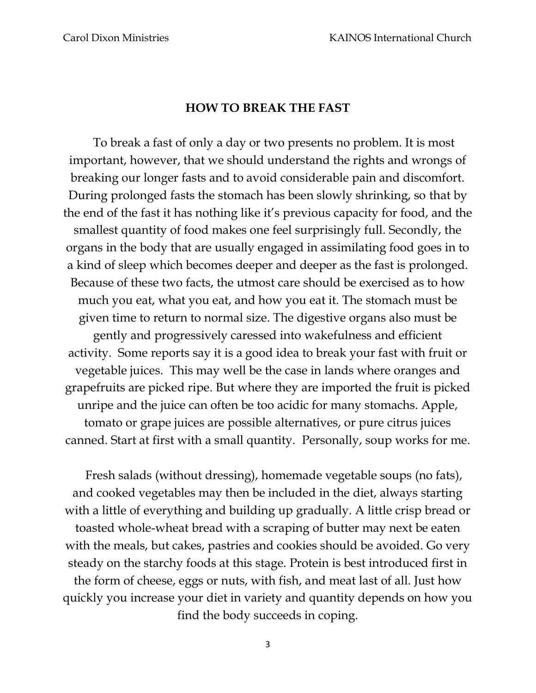## **HOW TO BREAK THE FAST**

To break a fast of only a day or two presents no problem. It is most important, however, that we should understand the rights and wrongs of breaking our longer fasts and to avoid considerable pain and discomfort. During prolonged fasts the stomach has been slowly shrinking, so that by the end of the fast it has nothing like it's previous capacity for food, and the smallest quantity of food makes one feel surprisingly full. Secondly, the organs in the body that are usually engaged in assimilating food goes in to a kind of sleep which becomes deeper and deeper as the fast is prolonged. Because of these two facts, the utmost care should be exercised as to how much you eat, what you eat, and how you eat it. The stomach must be given time to return to normal size. The digestive organs also must be gently and progressively caressed into wakefulness and efficient activity. Some reports say it is a good idea to break your fast with fruit or vegetable juices. This may well be the case in lands where oranges and grapefruits are picked ripe. But where they are imported the fruit is picked unripe and the juice can often be too acidic for many stomachs. Apple, tomato or grape juices are possible alternatives, or pure citrus juices canned. Start at first with a small quantity. Personally, soup works for me.

Fresh salads (without dressing), homemade vegetable soups (no fats), and cooked vegetables may then be included in the diet, always starting with a little of everything and building up gradually. A little crisp bread or toasted whole-wheat bread with a scraping of butter may next be eaten with the meals, but cakes, pastries and cookies should be avoided. Go very steady on the starchy foods at this stage. Protein is best introduced first in the form of cheese, eggs or nuts, with fish, and meat last of all. Just how quickly you increase your diet in variety and quantity depends on how you find the body succeeds in coping.

3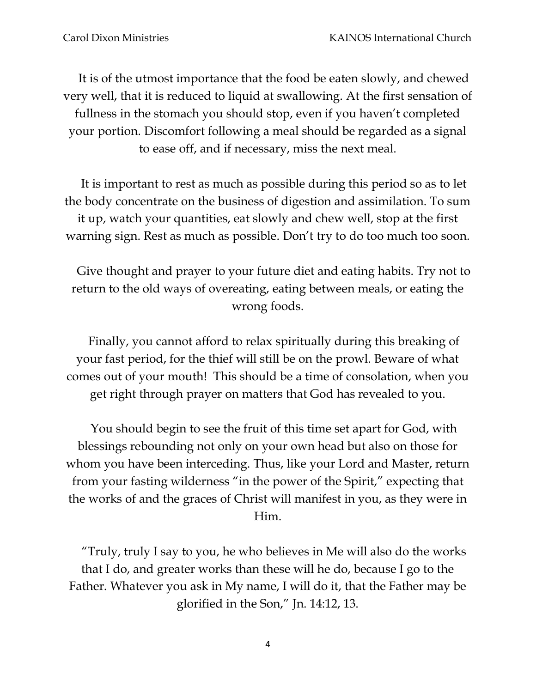It is of the utmost importance that the food be eaten slowly, and chewed very well, that it is reduced to liquid at swallowing. At the first sensation of fullness in the stomach you should stop, even if you haven't completed your portion. Discomfort following a meal should be regarded as a signal to ease off, and if necessary, miss the next meal.

It is important to rest as much as possible during this period so as to let the body concentrate on the business of digestion and assimilation. To sum it up, watch your quantities, eat slowly and chew well, stop at the first warning sign. Rest as much as possible. Don't try to do too much too soon.

Give thought and prayer to your future diet and eating habits. Try not to return to the old ways of overeating, eating between meals, or eating the wrong foods.

Finally, you cannot afford to relax spiritually during this breaking of your fast period, for the thief will still be on the prowl. Beware of what comes out of your mouth! This should be a time of consolation, when you get right through prayer on matters that God has revealed to you.

You should begin to see the fruit of this time set apart for God, with blessings rebounding not only on your own head but also on those for whom you have been interceding. Thus, like your Lord and Master, return from your fasting wilderness "in the power of the Spirit," expecting that the works of and the graces of Christ will manifest in you, as they were in Him.

"Truly, truly I say to you, he who believes in Me will also do the works that I do, and greater works than these will he do, because I go to the Father. Whatever you ask in My name, I will do it, that the Father may be glorified in the Son," Jn. 14:12, 13.